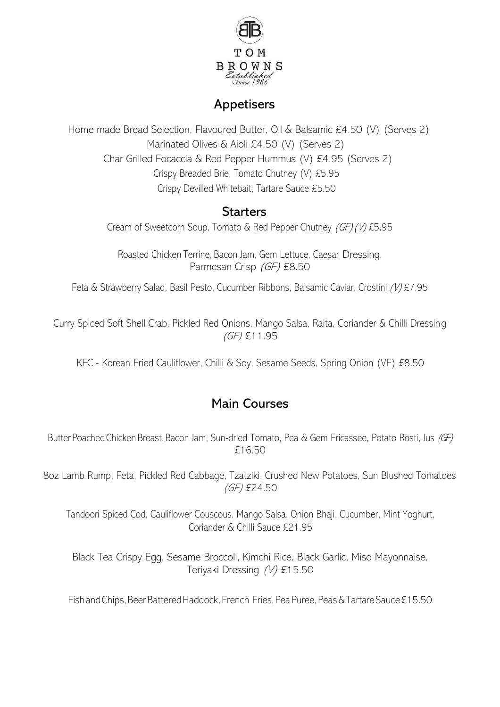

## **Appetisers**

Home made Bread Selection, Flavoured Butter, Oil & Balsamic £4.50 (V) (Serves 2) Marinated Olives & Aioli £4.50 (V) (Serves 2) Char Grilled Focaccia & Red Pepper Hummus (V) £4.95 (Serves 2) Crispy Breaded Brie, Tomato Chutney (V) £5.95 Crispy Devilled Whitebait, Tartare Sauce £5.50

### **Starters**

Cream of Sweetcorn Soup, Tomato & Red Pepper Chutney (GF)(V) £5.95

Roasted Chicken Terrine, Bacon Jam, Gem Lettuce, Caesar Dressing, Parmesan Crisp (GF) £8.50

Feta & Strawberry Salad, Basil Pesto, Cucumber Ribbons, Balsamic Caviar, Crostini (V) £7.95

Curry Spiced Soft Shell Crab, Pickled Red Onions, Mango Salsa, Raita, Coriander & Chilli Dressing (GF) £11.95

KFC - Korean Fried Cauliflower, Chilli & Soy, Sesame Seeds, Spring Onion (VE) £8.50

## Main Courses

Butter Poached Chicken Breast, Bacon Jam, Sun-dried Tomato, Pea & Gem Fricassee, Potato Rosti, Jus (GF) £16.50

8oz Lamb Rump, Feta, Pickled Red Cabbage, Tzatziki, Crushed New Potatoes, Sun Blushed Tomatoes (GF) £24.50

Tandoori Spiced Cod, Cauliflower Couscous, Mango Salsa, Onion Bhaji, Cucumber, Mint Yoghurt, Coriander & Chilli Sauce £21.95

Black Tea Crispy Egg, Sesame Broccoli, Kimchi Rice, Black Garlic, Miso Mayonnaise, Teriyaki Dressing (V) £15.50

Fish and Chips, Beer Battered Haddock, French Fries, Pea Puree, Peas & Tartare Sauce £15.50